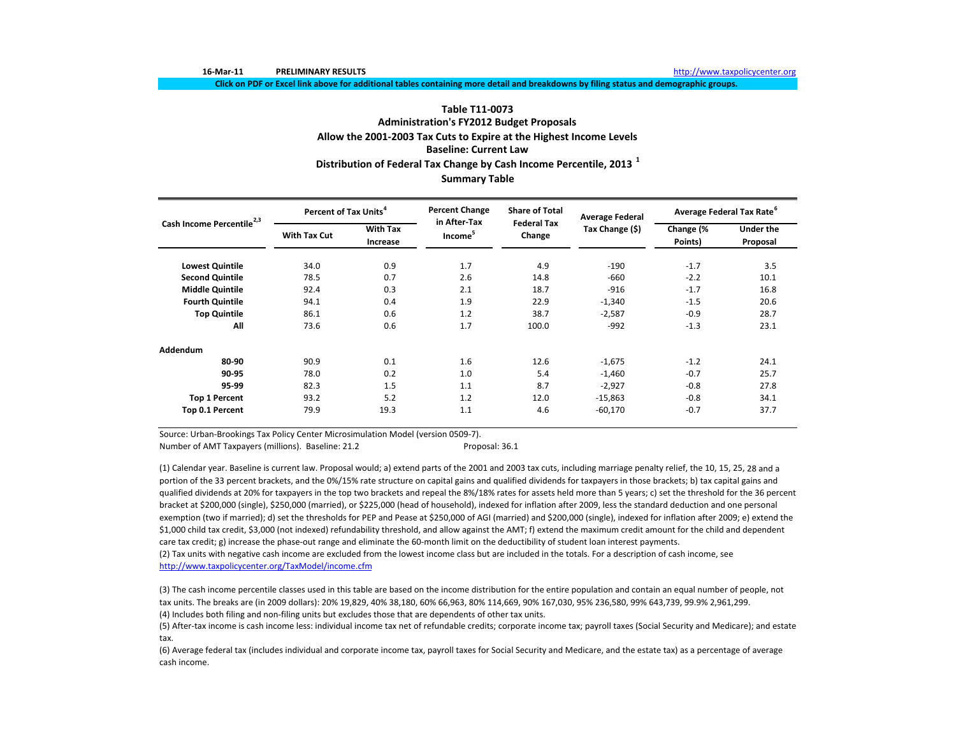**16‐Mar‐11 PRELIMINARY**

Click on PDF or Excel link above for additional tables containing more detail and breakdowns by filing status and demographic groups.

# **Table T11‐0073Administration's FY2012 Budget Proposals Allow the 2001‐2003 Tax Cuts to Expire at the Highest Income Levels Baseline: Current LawDistribution of Federal Tax Change by Cash Income Percentile, <sup>2013</sup> <sup>1</sup> Summary Table**

| Cash Income Percentile <sup>2,3</sup> | Percent of Tax Units <sup>4</sup> |                             | <b>Percent Change</b><br>in After-Tax | <b>Share of Total</b>        | <b>Average Federal</b> | Average Federal Tax Rate <sup>6</sup> |                              |  |
|---------------------------------------|-----------------------------------|-----------------------------|---------------------------------------|------------------------------|------------------------|---------------------------------------|------------------------------|--|
|                                       | <b>With Tax Cut</b>               | <b>With Tax</b><br>Increase | Income <sup>5</sup>                   | <b>Federal Tax</b><br>Change | Tax Change (\$)        | Change (%<br>Points)                  | <b>Under the</b><br>Proposal |  |
| <b>Lowest Quintile</b>                | 34.0                              | 0.9                         | 1.7                                   | 4.9                          | $-190$                 | $-1.7$                                | 3.5                          |  |
| <b>Second Quintile</b>                | 78.5                              | 0.7                         | 2.6                                   | 14.8                         | $-660$                 | $-2.2$                                | 10.1                         |  |
| <b>Middle Quintile</b>                | 92.4                              | 0.3                         | 2.1                                   | 18.7                         | $-916$                 | $-1.7$                                | 16.8                         |  |
| <b>Fourth Quintile</b>                | 94.1                              | 0.4                         | 1.9                                   | 22.9                         | $-1,340$               | $-1.5$                                | 20.6                         |  |
| <b>Top Quintile</b>                   | 86.1                              | 0.6                         | 1.2                                   | 38.7                         | $-2,587$               | $-0.9$                                | 28.7                         |  |
| All                                   | 73.6                              | 0.6                         | 1.7                                   | 100.0                        | $-992$                 | $-1.3$                                | 23.1                         |  |
| Addendum                              |                                   |                             |                                       |                              |                        |                                       |                              |  |
| 80-90                                 | 90.9                              | 0.1                         | 1.6                                   | 12.6                         | $-1,675$               | $-1.2$                                | 24.1                         |  |
| 90-95                                 | 78.0                              | 0.2                         | 1.0                                   | 5.4                          | $-1,460$               | $-0.7$                                | 25.7                         |  |
| 95-99                                 | 82.3                              | 1.5                         | 1.1                                   | 8.7                          | $-2,927$               | $-0.8$                                | 27.8                         |  |
| <b>Top 1 Percent</b>                  | 93.2                              | 5.2                         | 1.2                                   | 12.0                         | $-15,863$              | $-0.8$                                | 34.1                         |  |
| Top 0.1 Percent                       | 79.9                              | 19.3                        | 1.1                                   | 4.6                          | $-60,170$              | $-0.7$                                | 37.7                         |  |

Source: Urban‐Brookings Tax Policy Center Microsimulation Model (version 0509‐7).

Number of AMT Taxpayers (millions). Baseline: 21.2 Proposal: 36.1

(2) Tax units with negative cash income are excluded from the lowest income class but are included in the totals. For <sup>a</sup> description of cash income, see http://www.taxpolicycenter.org/TaxModel/income.cfm (1) Calendar year. Baseline is current law. Proposal would; a) extend parts of the 2001 and 2003 tax cuts, including marriage penalty relief, the 10, 15, 25, 28 and <sup>a</sup> portion of the 33 percent brackets, and the 0%/15% rate structure on capital gains and qualified dividends for taxpayers in those brackets; b) tax capital gains and qualified dividends at 20% for taxpayers in the top two brackets and repeal the 8%/18% rates for assets held more than 5 years; c) set the threshold for the 36 percent bracket at \$200,000 (single), \$250,000 (married), or \$225,000 (head of household), indexed for inflation after 2009, less the standard deduction and one personal exemption (two if married); d) set the thresholds for PEP and Pease at \$250,000 of AGI (married) and \$200,000 (single), indexed for inflation after 2009; e) extend the \$1,000 child tax credit, \$3,000 (not indexed) refundability threshold, and allow against the AMT; f) extend the maximum credit amount for the child and dependent care tax credit; g) increase the phase‐out range and eliminate the 60‐month limit on the deductibility of student loan interest payments.

(4) Includes both filing and non‐filing units but excludes those that are dependents of other tax units. (3) The cash income percentile classes used in this table are based on the income distribution for the entire population and contain an equal number of people, not tax units. The breaks are (in 2009 dollars): 20% 19,829, 40% 38,180, 60% 66,963, 80% 114,669, 90% 167,030, 95% 236,580, 99% 643,739, 99.9% 2,961,299.

(5) After‐tax income is cash income less: individual income tax net of refundable credits; corporate income tax; payroll taxes (Social Security and Medicare); and estate tax.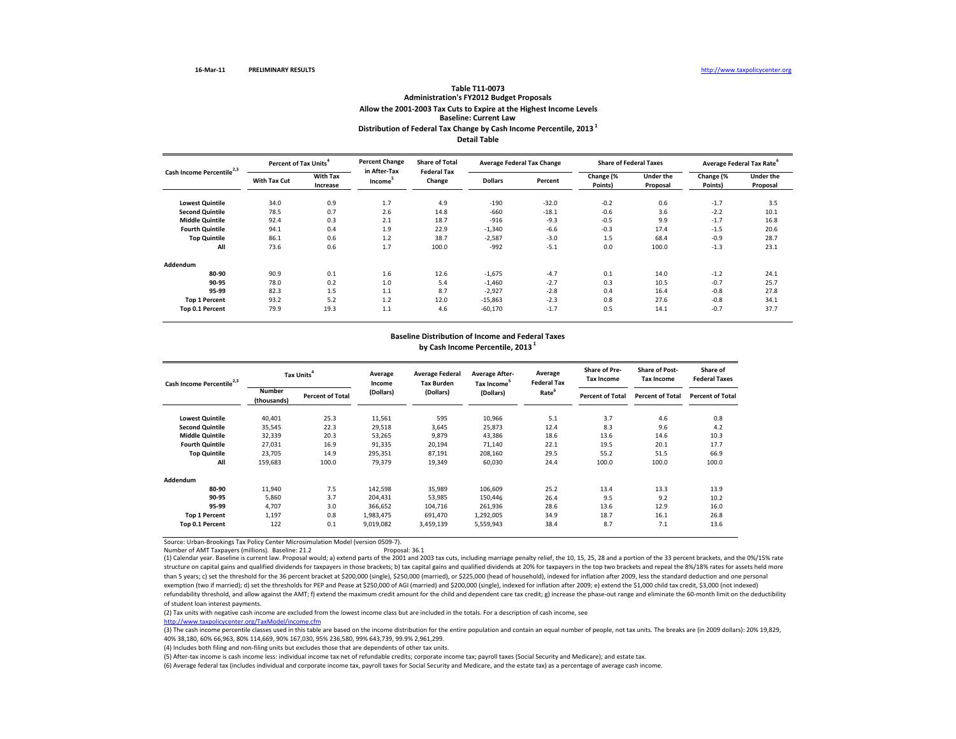# **Distribution of Federal Tax Change by Cash Income Percentile, <sup>2013</sup> <sup>1</sup> Detail TableTable T11‐0073 Administration's FY2012 Budget Proposals Allow the 2001‐2003 Tax Cuts to Expire at the Highest Income Levels Baseline: Current Law**

**Lowest Quintile Quintile** 34.0 0.9 1.7 4.9 ‐190 ‐32.0 ‐0.2 0.6 ‐1.7 3.5 **Second Quintile** 78.5 0.7 2.6 14.8 ‐660 ‐18.1 ‐0.6 3.6 ‐2.2 10.1 **Middlee Quintile** 92.4 0.3 2.1 18.7 -916 -9.3 -0.5 9.9 -1.7 16.8 **Fourth Quintile** 94.1 0.4 1.9 22.9 ‐1,340 ‐6.6 ‐0.3 17.4 ‐1.5 20.6 **Top Quintile** 86.1 0.6 1.2 38.7 ‐2,587 ‐3.0 1.5 68.4 ‐0.9 28.7 **All** 73.6 0.6 1.7 100.0 ‐992 ‐5.1 0.0 100.0 ‐1.3 23.1 **Addendum80‐90** 90.9 0.1 1.6 12.6 ‐1,675 ‐4.7 0.1 14.0 ‐1.2 24.1 **90‐95** 78.0 0.2 1.0 5.4 ‐1,460 ‐2.7 0.3 10.5 ‐0.7 25.7 **95‐99** 82.3 1.5 1.1 8.7 ‐2,927 ‐2.8 0.4 16.4 ‐0.8 27.8 **Top 1 Percent** 93.2 5.2 1.2 12.0 ‐15,863 ‐2.3 0.8 27.6 ‐0.8 34.1 **Top 0.1 Percent** 79.9 19.3 1.1 4.6 ‐60,170 ‐1.7 0.5 14.1 ‐0.7 37.7 **Percent of TaxPercent Change in After‐Tax Income<sup>5</sup> Share of Total Federal TaxChange Average Federal Tax Change Share of Federal Taxes Average Federal Tax Rate<sup>6</sup> With**tim and the memory of the change of the change (% Under the Change (% Under the the the change of the the<br>HTax Cut ancrease the loome<sup>s</sup> Change Mallars Percent Points) Proposal Points) Proposal **With Tax IncreaseDollars PercentChange (% Points) Under the Proposal Change (% Points) Cash Income Percentile2,3**

# **Baseline Distribution of Income and Federal Taxes**

**by Cash Income Percentile, <sup>2013</sup> <sup>1</sup>**

| Cash Income Percentile <sup>2,3</sup> | Tax Units <sup>4</sup>       |                         | Average<br>Income | <b>Average Federal</b><br><b>Tax Burden</b> | <b>Average After-</b><br>Tax Income <sup>5</sup> | Average<br><b>Federal Tax</b> | <b>Share of Pre-</b><br><b>Tax Income</b> | <b>Share of Post-</b><br><b>Tax Income</b> | Share of<br><b>Federal Taxes</b> |
|---------------------------------------|------------------------------|-------------------------|-------------------|---------------------------------------------|--------------------------------------------------|-------------------------------|-------------------------------------------|--------------------------------------------|----------------------------------|
|                                       | <b>Number</b><br>(thousands) | <b>Percent of Total</b> | (Dollars)         | (Dollars)                                   | (Dollars)                                        | Rate <sup>6</sup>             | <b>Percent of Total</b>                   | <b>Percent of Total</b>                    | <b>Percent of Total</b>          |
| <b>Lowest Quintile</b>                | 40,401                       | 25.3                    | 11,561            | 595                                         | 10,966                                           | 5.1                           | 3.7                                       | 4.6                                        | 0.8                              |
| <b>Second Quintile</b>                | 35,545                       | 22.3                    | 29,518            | 3,645                                       | 25,873                                           | 12.4                          | 8.3                                       | 9.6                                        | 4.2                              |
| <b>Middle Quintile</b>                | 32,339                       | 20.3                    | 53,265            | 9,879                                       | 43,386                                           | 18.6                          | 13.6                                      | 14.6                                       | 10.3                             |
| <b>Fourth Quintile</b>                | 27,031                       | 16.9                    | 91,335            | 20,194                                      | 71,140                                           | 22.1                          | 19.5                                      | 20.1                                       | 17.7                             |
| <b>Top Quintile</b>                   | 23.705                       | 14.9                    | 295,351           | 87,191                                      | 208,160                                          | 29.5                          | 55.2                                      | 51.5                                       | 66.9                             |
| All                                   | 159,683                      | 100.0                   | 79,379            | 19,349                                      | 60,030                                           | 24.4                          | 100.0                                     | 100.0                                      | 100.0                            |
| Addendum                              |                              |                         |                   |                                             |                                                  |                               |                                           |                                            |                                  |
| 80-90                                 | 11,940                       | 7.5                     | 142,598           | 35,989                                      | 106,609                                          | 25.2                          | 13.4                                      | 13.3                                       | 13.9                             |
| 90-95                                 | 5,860                        | 3.7                     | 204,431           | 53,985                                      | 150,446                                          | 26.4                          | 9.5                                       | 9.2                                        | 10.2                             |
| 95-99                                 | 4,707                        | 3.0                     | 366,652           | 104,716                                     | 261,936                                          | 28.6                          | 13.6                                      | 12.9                                       | 16.0                             |
| <b>Top 1 Percent</b>                  | 1,197                        | 0.8                     | 1,983,475         | 691,470                                     | 1,292,005                                        | 34.9                          | 18.7                                      | 16.1                                       | 26.8                             |
| Top 0.1 Percent                       | 122                          | 0.1                     | 9,019,082         | 3,459,139                                   | 5,559,943                                        | 38.4                          | 8.7                                       | 7.1                                        | 13.6                             |

Source: Urban‐Brookings Tax Policy Center Microsimulation Model (version 0509‐7).

Number of AMT Taxpayers (millions). Baseline: 21.2 Proposal: 36.1

(1) Calendar year. Baseline is current law. Proposal would; a) extend parts of the 2001 and 2003 tax cuts, including marriage penalty relief, the 10, 15, 25, 28 and <sup>a</sup> portion of the 33 percent brackets, and the 0%/15% rate structure on capital gains and qualified dividends for taxpayers in those brackets; b) tax capital gains and qualified dividends at 20% for taxpayers in the top two brackets and repeal the 8%/18% rates for assets held more than 5 years; c) set the threshold for the 36 percent bracket at \$200,000 (single), \$250,000 (married), or \$225,000 (head of household), indexed for inflation after 2009, less the standard deduction and one personal exemption (two if married); d) set the thresholds for PEP and Pease at \$250,000 of AGI (married) and \$200,000 (single), indexed for inflation after 2009; e) extend the \$1,000 child tax credit, \$3,000 (not indexed) refundability threshold, and allow against the AMT; f) extend the maximum credit amount for the child and dependent care tax credit; g) increase the phase-out range and eliminate the 60-month limit on the deductibility of student loan interest payments.

(2) Tax units with negative cash income are excluded from the lowest income class but are included in the totals. For <sup>a</sup> description of cash income, see

http://www.taxpolicycenter.org/TaxModel/income.cfm

(3) The cash income percentile classes used in this table are based on the income distribution for the entire population and contain an equal number of people, not tax units. The breaks are (in 2009 dollars): 20% 19,829, 40% 38,180, 60% 66,963, 80% 114,669, 90% 167,030, 95% 236,580, 99% 643,739, 99.9% 2,961,299.

(4) Includes both filing and non‐filing units but excludes those that are dependents of other tax units.

(5) After‐tax income is cash income less: individual income tax net of refundable credits; corporate income tax; payroll taxes (Social Security and Medicare); and estate tax.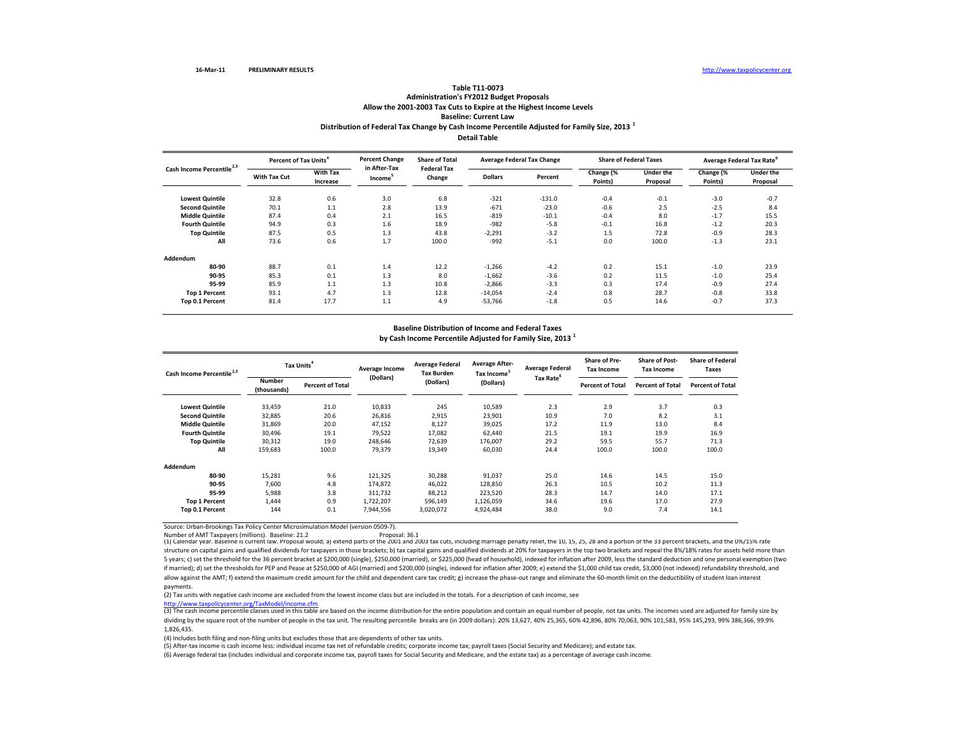## **Distribution of Federal Tax Change by Cash Income Percentile Adjusted for Family Size, <sup>2013</sup> <sup>1</sup> Detail TableTable T11‐0073 Administration's FY2012 Budget Proposals Allow the 2001‐2003 Tax Cuts to Expire at the Highest Income Levels Baseline: Current Law**

**Lowest Quintile** 32.8 0.6 3.0 6.8 ‐321 ‐131.0 ‐0.4 ‐0.1 ‐3.0 ‐0.7 **Secondd Quintile** 70.1 1.1 2.8 13.9 -671 -23.0 -0.6 2.5 8.4 **Middle Quintile Quintile** 87.4 0.4 2.1 16.5 ‐819 ‐10.1 ‐0.4 8.0 ‐1.7 15.5 **Fourth Quintile** 94.9 0.3 1.6 18.9 ‐982 ‐5.8 ‐0.1 16.8 ‐1.2 20.3 **Top Quintile** 87.5 0.5 1.3 43.8 ‐2,291 ‐3.2 1.5 72.8 ‐0.9 28.3 **All** 73.6 0.6 1.7 100.0 ‐992 ‐5.1 0.0 100.0 ‐1.3 23.1 **Addendum80‐900 88.7 0.1 1.4 12.2 -1,266 -4.2 0.2 15.1 -1.0 23.9 90‐95** 85.3 0.1 1.3 8.0 ‐1,662 ‐3.6 0.2 11.5 ‐1.0 25.4 **95‐99** 85.9 1.1 1.3 10.8 ‐2,866 ‐3.3 0.3 17.4 ‐0.9 27.4 **Top 1 Percent** 93.1 4.7 1.3 12.8 ‐14,054 ‐2.4 0.8 28.7 ‐0.8 33.8 **Top 0.1 Percent** 81.4 17.7 1.1 4.9 ‐53,766 ‐1.8 0.5 14.6 ‐0.7 37.3 **Percent of TaxPercent Change in After‐Tax Income<sup>5</sup> Share of Total Federal TaxChange Average Federal Tax Change Share of Federal Taxes Average Federal Tax Rate<sup>6</sup> With**nax Cut With Tax and the sector of the Dallars Percent Change (% Under the Change (% Under the Shange Merthe<br>A Dallars external proposal Proposal Proposal Promosal Proposal Proposal Proposal Proposal Proposal Proposal **With Tax IncreaseDollars PercentChange (% Points) Under the Proposal Change (% Points) Cash Income Percentile2,3**

#### **Baseline Distribution of Income and Federal Taxes**

**by Cash Income Percentile Adjusted for Family Size, <sup>2013</sup> <sup>1</sup>**

| Cash Income Percentile <sup>2,3</sup> | Tax Units <sup>4</sup>       |                         | Average Income | <b>Average Federal</b><br><b>Tax Burden</b> | <b>Average After-</b><br>Tax Income <sup>5</sup> | <b>Average Federal</b> | <b>Share of Pre-</b><br><b>Tax Income</b> | <b>Share of Post-</b><br><b>Tax Income</b> | <b>Share of Federal</b><br><b>Taxes</b> |
|---------------------------------------|------------------------------|-------------------------|----------------|---------------------------------------------|--------------------------------------------------|------------------------|-------------------------------------------|--------------------------------------------|-----------------------------------------|
|                                       | <b>Number</b><br>(thousands) | <b>Percent of Total</b> | (Dollars)      | (Dollars)                                   | (Dollars)                                        | Tax Rate <sup>6</sup>  | <b>Percent of Total</b>                   | <b>Percent of Total</b>                    | <b>Percent of Total</b>                 |
| <b>Lowest Quintile</b>                | 33,459                       | 21.0                    | 10,833         | 245                                         | 10,589                                           | 2.3                    | 2.9                                       | 3.7                                        | 0.3                                     |
| <b>Second Quintile</b>                | 32,885                       | 20.6                    | 26,816         | 2,915                                       | 23,901                                           | 10.9                   | 7.0                                       | 8.2                                        | 3.1                                     |
| <b>Middle Quintile</b>                | 31,869                       | 20.0                    | 47,152         | 8,127                                       | 39,025                                           | 17.2                   | 11.9                                      | 13.0                                       | 8.4                                     |
| <b>Fourth Quintile</b>                | 30.496                       | 19.1                    | 79,522         | 17,082                                      | 62,440                                           | 21.5                   | 19.1                                      | 19.9                                       | 16.9                                    |
| <b>Top Quintile</b>                   | 30,312                       | 19.0                    | 248,646        | 72,639                                      | 176,007                                          | 29.2                   | 59.5                                      | 55.7                                       | 71.3                                    |
| All                                   | 159,683                      | 100.0                   | 79,379         | 19,349                                      | 60,030                                           | 24.4                   | 100.0                                     | 100.0                                      | 100.0                                   |
| Addendum                              |                              |                         |                |                                             |                                                  |                        |                                           |                                            |                                         |
| 80-90                                 | 15,281                       | 9.6                     | 121,325        | 30,288                                      | 91,037                                           | 25.0                   | 14.6                                      | 14.5                                       | 15.0                                    |
| 90-95                                 | 7,600                        | 4.8                     | 174,872        | 46,022                                      | 128,850                                          | 26.3                   | 10.5                                      | 10.2                                       | 11.3                                    |
| 95-99                                 | 5,988                        | 3.8                     | 311,732        | 88,212                                      | 223,520                                          | 28.3                   | 14.7                                      | 14.0                                       | 17.1                                    |
| <b>Top 1 Percent</b>                  | 1.444                        | 0.9                     | 1,722,207      | 596,149                                     | 1,126,059                                        | 34.6                   | 19.6                                      | 17.0                                       | 27.9                                    |
| Top 0.1 Percent                       | 144                          | 0.1                     | 7,944,556      | 3,020,072                                   | 4,924,484                                        | 38.0                   | 9.0                                       | 7.4                                        | 14.1                                    |

Source: Urban‐Brookings Tax Policy Center Microsimulation Model (version 0509‐7).

Number of AMT Taxpayers (millions). Baseline: 21.2<br>(1) Calendar year. Baseline is current law. Proposal would; a) extend parts of the 2001 and 2003 tax cuts, including marriage penalty relief, the 10, 15, 25, 28 and a port structure on capital gains and qualified dividends for taxpayers in those brackets; b) tax capital gains and qualified dividends at 20% for taxpayers in the top two brackets and repeal the 8%/18% rates for assets held more 5 years; c) set the threshold for the 36 percent bracket at \$200,000 (single), \$250,000 (married), or \$225,000 (head of household), indexed for inflation after 2009, less the standard deduction and one personal exemption ( if married); d) set the thresholds for PEP and Pease at \$250,000 of AGI (married) and \$200,000 (single), indexed for inflation after 2009; e) extend the \$1,000 child tax credit, \$3,000 (not indexed) refundability threshold allow against the AMT; f) extend the maximum credit amount for the child and dependent care tax credit; g) increase the phase‐out range and eliminate the 60‐month limit on the deductibility of student loan interest payments.

(2) Tax units with negative cash income are excluded from the lowest income class but are included in the totals. For <sup>a</sup> description of cash income, see

http://www.taxpolicycenter.org/TaxModel/income.cfm

(3) The cash income percentile classes used in this table are based on the income distribution for the entire population and contain an equal number of people, not tax units. The incomes used are adjusted for family size b dividing by the square root of the number of people in the tax unit. The resulting percentile breaks are (in 2009 dollars): 20% 13,627, 40% 25,365, 60% 42,896, 80% 70,063, 90% 101,583, 95% 145,293, 99% 386,366, 99.9% 1,826,435.

(4) Includes both filing and non‐filing units but excludes those that are dependents of other tax units.

(5) After‐tax income is cash income less: individual income tax net of refundable credits; corporate income tax; payroll taxes (Social Security and Medicare); and estate tax.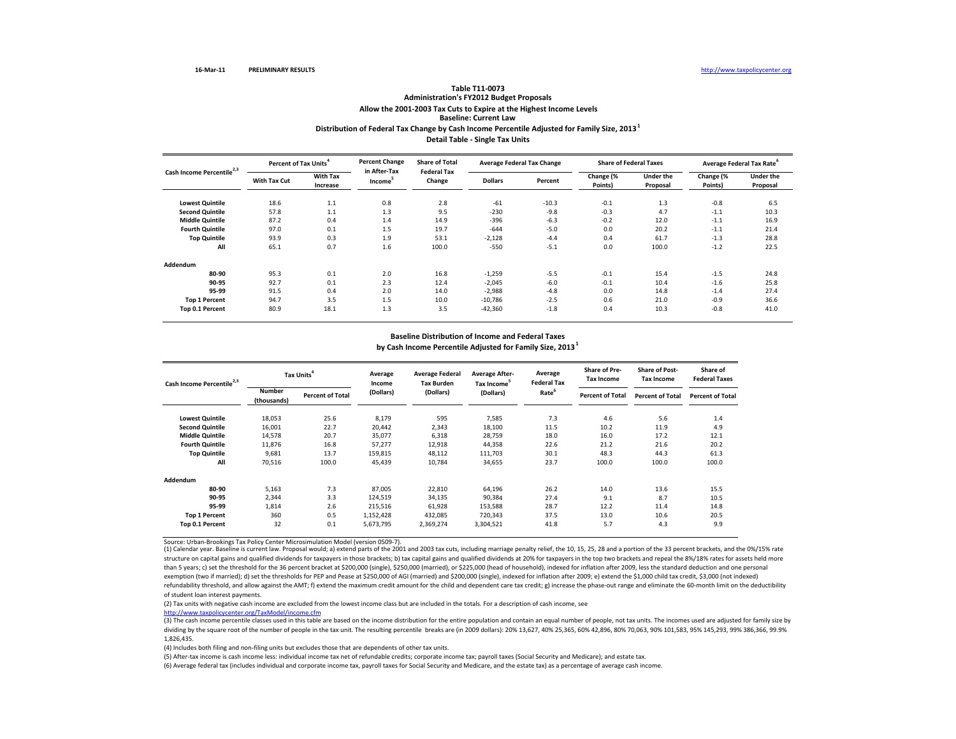# **Distribution of Federal Tax Change by Cash Income Percentile Adjusted for Family Size, <sup>2013</sup><sup>1</sup> Detail Table ‐ Single Tax Units Table T11‐0073 Administration's FY2012 Budget Proposals Allow the 2001‐2003 Tax Cuts to Expire at the Highest Income Levels Baseline: Current Law**

| Cash Income Percentile <sup>2,3</sup> | Percent of Tax Units <sup>4</sup> |                             | <b>Percent Change</b>               | <b>Share of Total</b>        | <b>Average Federal Tax Change</b> |         | <b>Share of Federal Taxes</b> |                              | Average Federal Tax Rate <sup>6</sup> |                       |
|---------------------------------------|-----------------------------------|-----------------------------|-------------------------------------|------------------------------|-----------------------------------|---------|-------------------------------|------------------------------|---------------------------------------|-----------------------|
|                                       | With Tax Cut                      | <b>With Tax</b><br>Increase | in After-Tax<br>Income <sup>3</sup> | <b>Federal Tax</b><br>Change | <b>Dollars</b>                    | Percent | Change (%<br>Points)          | <b>Under the</b><br>Proposal | Change (%<br>Points)                  | Under the<br>Proposal |
| <b>Lowest Quintile</b>                | 18.6                              | 1.1                         | 0.8                                 | 2.8                          | $-61$                             | $-10.3$ | $-0.1$                        | 1.3                          | $-0.8$                                | 6.5                   |
| <b>Second Quintile</b>                | 57.8                              | 1.1                         | 1.3                                 | 9.5                          | $-230$                            | $-9.8$  | $-0.3$                        | 4.7                          | $-1.1$                                | 10.3                  |
| <b>Middle Quintile</b>                | 87.2                              | 0.4                         | 1.4                                 | 14.9                         | $-396$                            | $-6.3$  | $-0.2$                        | 12.0                         | $-1.1$                                | 16.9                  |
| <b>Fourth Quintile</b>                | 97.0                              | 0.1                         | 1.5                                 | 19.7                         | $-644$                            | $-5.0$  | 0.0                           | 20.2                         | $-1.1$                                | 21.4                  |
| <b>Top Quintile</b>                   | 93.9                              | 0.3                         | 1.9                                 | 53.1                         | $-2,128$                          | $-4.4$  | 0.4                           | 61.7                         | $-1.3$                                | 28.8                  |
| All                                   | 65.1                              | 0.7                         | 1.6                                 | 100.0                        | $-550$                            | $-5.1$  | 0.0                           | 100.0                        | $-1.2$                                | 22.5                  |
| Addendum                              |                                   |                             |                                     |                              |                                   |         |                               |                              |                                       |                       |
| 80-90                                 | 95.3                              | 0.1                         | 2.0                                 | 16.8                         | $-1,259$                          | $-5.5$  | $-0.1$                        | 15.4                         | $-1.5$                                | 24.8                  |
| 90-95                                 | 92.7                              | 0.1                         | 2.3                                 | 12.4                         | $-2,045$                          | $-6.0$  | $-0.1$                        | 10.4                         | $-1.6$                                | 25.8                  |
| 95-99                                 | 91.5                              | 0.4                         | 2.0                                 | 14.0                         | $-2,988$                          | $-4.8$  | 0.0                           | 14.8                         | $-1.4$                                | 27.4                  |
| <b>Top 1 Percent</b>                  | 94.7                              | 3.5                         | 1.5                                 | 10.0                         | $-10,786$                         | $-2.5$  | 0.6                           | 21.0                         | $-0.9$                                | 36.6                  |
| Top 0.1 Percent                       | 80.9                              | 18.1                        | 1.3                                 | 3.5                          | $-42,360$                         | $-1.8$  | 0.4                           | 10.3                         | $-0.8$                                | 41.0                  |

#### **Baseline Distribution of Income and Federal Taxes**

**by Cash Income Percentile Adjusted for Family Size, <sup>2013</sup><sup>1</sup>**

| Cash Income Percentile <sup>2,3</sup> | Tax Units <sup>4</sup>       |                         | Average<br>Income | <b>Average Federal</b><br><b>Tax Burden</b> | <b>Average After-</b><br>Tax Income <sup>5</sup> | Average<br><b>Federal Tax</b> | <b>Share of Pre-</b><br><b>Tax Income</b> | <b>Share of Post-</b><br><b>Tax Income</b> | Share of<br><b>Federal Taxes</b> |
|---------------------------------------|------------------------------|-------------------------|-------------------|---------------------------------------------|--------------------------------------------------|-------------------------------|-------------------------------------------|--------------------------------------------|----------------------------------|
|                                       | <b>Number</b><br>(thousands) | <b>Percent of Total</b> | (Dollars)         | (Dollars)                                   | (Dollars)                                        | Rate <sup>6</sup>             | <b>Percent of Total</b>                   | <b>Percent of Total</b>                    | <b>Percent of Total</b>          |
| <b>Lowest Quintile</b>                | 18,053                       | 25.6                    | 8,179             | 595                                         | 7,585                                            | 7.3                           | 4.6                                       | 5.6                                        | 1.4                              |
| <b>Second Quintile</b>                | 16,001                       | 22.7                    | 20,442            | 2,343                                       | 18,100                                           | 11.5                          | 10.2                                      | 11.9                                       | 4.9                              |
| <b>Middle Quintile</b>                | 14,578                       | 20.7                    | 35,077            | 6,318                                       | 28,759                                           | 18.0                          | 16.0                                      | 17.2                                       | 12.1                             |
| <b>Fourth Quintile</b>                | 11,876                       | 16.8                    | 57.277            | 12,918                                      | 44,358                                           | 22.6                          | 21.2                                      | 21.6                                       | 20.2                             |
| <b>Top Quintile</b>                   | 9,681                        | 13.7                    | 159,815           | 48,112                                      | 111,703                                          | 30.1                          | 48.3                                      | 44.3                                       | 61.3                             |
| All                                   | 70,516                       | 100.0                   | 45,439            | 10,784                                      | 34,655                                           | 23.7                          | 100.0                                     | 100.0                                      | 100.0                            |
| Addendum                              |                              |                         |                   |                                             |                                                  |                               |                                           |                                            |                                  |
| 80-90                                 | 5,163                        | 7.3                     | 87,005            | 22,810                                      | 64,196                                           | 26.2                          | 14.0                                      | 13.6                                       | 15.5                             |
| 90-95                                 | 2,344                        | 3.3                     | 124,519           | 34,135                                      | 90,384                                           | 27.4                          | 9.1                                       | 8.7                                        | 10.5                             |
| 95-99                                 | 1,814                        | 2.6                     | 215,516           | 61,928                                      | 153,588                                          | 28.7                          | 12.2                                      | 11.4                                       | 14.8                             |
| <b>Top 1 Percent</b>                  | 360                          | 0.5                     | 1,152,428         | 432,085                                     | 720,343                                          | 37.5                          | 13.0                                      | 10.6                                       | 20.5                             |
| Top 0.1 Percent                       | 32                           | 0.1                     | 5,673,795         | 2,369,274                                   | 3,304,521                                        | 41.8                          | 5.7                                       | 4.3                                        | 9.9                              |

Source: Urban‐Brookings Tax Policy Center Microsimulation Model (version 0509‐7).

(1) Calendar year. Baseline is current law. Proposal would; a) extend parts of the 2001 and 2003 tax cuts, including marriage penalty relief, the 10, 15, 25, 28 and <sup>a</sup> portion of the 33 percent brackets, and the 0%/15% rate structure on capital gains and qualified dividends for taxpayers in those brackets; b) tax capital gains and qualified dividends at 20% for taxpayers in the top two brackets and repeal the 8%/18% rates for assets held more than 5 years; c) set the threshold for the 36 percent bracket at \$200,000 (single), \$250,000 (married), or \$225,000 (head of household), indexed for inflation after 2009, less the standard deduction and one personal exemption (two if married); d) set the thresholds for PEP and Pease at \$250,000 of AGI (married) and \$200,000 (single), indexed for inflation after 2009; e) extend the \$1,000 child tax credit, \$3,000 (not indexed) refundability threshold, and allow against the AMT; f) extend the maximum credit amount for the child and dependent care tax credit; g) increase the phase‐out range and eliminate the 60‐month limit on the deductibility of student loan interest payments.

(2) Tax units with negative cash income are excluded from the lowest income class but are included in the totals. For <sup>a</sup> description of cash income, see

http://www.taxpolicycenter.org/TaxModel/income.cfm

 $\frac{1}{(3)}$  The cash income percentile classes used in this table are based on the income distribution for the entire population and contain an equal number of people, not tax units. The incomes used are adjusted for famil dividing by the square root of the number of people in the tax unit. The resulting percentile breaks are (in 2009 dollars): 20% 13,627, 40% 25,365, 60% 42,896, 80% 70,063, 90% 101,583, 95% 145,293, 99% 386,366, 99.9% 1,826,435.

(4) Includes both filing and non‐filing units but excludes those that are dependents of other tax units.

(5) After‐tax income is cash income less: individual income tax net of refundable credits; corporate income tax; payroll taxes (Social Security and Medicare); and estate tax.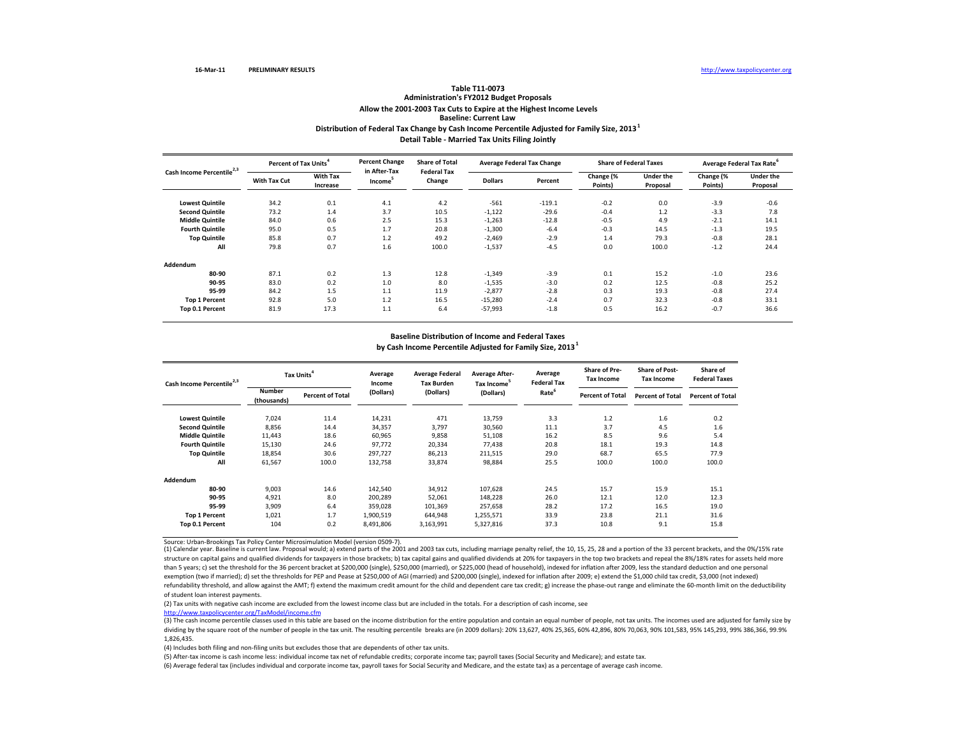# **Distribution of Federal Tax Change by Cash Income Percentile Adjusted for Family Size, <sup>2013</sup><sup>1</sup> Detail Table ‐ Married Tax Units Filing Jointly Table T11‐0073 Administration's FY2012 Budget Proposals Allow the 2001‐2003 Tax Cuts to Expire at the Highest Income Levels Baseline: Current Law**

| Cash Income Percentile <sup>2,3</sup> |              | Percent of Tax Units <sup>4</sup> |                                     | <b>Share of Total</b>        | <b>Average Federal Tax Change</b> |          | <b>Share of Federal Taxes</b> |                       | Average Federal Tax Rate <sup>6</sup> |                              |
|---------------------------------------|--------------|-----------------------------------|-------------------------------------|------------------------------|-----------------------------------|----------|-------------------------------|-----------------------|---------------------------------------|------------------------------|
|                                       | With Tax Cut | <b>With Tax</b><br>Increase       | in After-Tax<br>Income <sup>3</sup> | <b>Federal Tax</b><br>Change | <b>Dollars</b>                    | Percent  | Change (%<br>Points)          | Under the<br>Proposal | Change (%<br>Points)                  | <b>Under the</b><br>Proposal |
| <b>Lowest Quintile</b>                | 34.2         | 0.1                               | 4.1                                 | 4.2                          | $-561$                            | $-119.1$ | $-0.2$                        | 0.0                   | $-3.9$                                | $-0.6$                       |
| <b>Second Quintile</b>                | 73.2         | 1.4                               | 3.7                                 | 10.5                         | $-1,122$                          | $-29.6$  | $-0.4$                        | 1.2                   | $-3.3$                                | 7.8                          |
| <b>Middle Quintile</b>                | 84.0         | 0.6                               | 2.5                                 | 15.3                         | $-1,263$                          | $-12.8$  | $-0.5$                        | 4.9                   | $-2.1$                                | 14.1                         |
| <b>Fourth Quintile</b>                | 95.0         | 0.5                               | 1.7                                 | 20.8                         | $-1,300$                          | $-6.4$   | $-0.3$                        | 14.5                  | $-1.3$                                | 19.5                         |
| <b>Top Quintile</b>                   | 85.8         | 0.7                               | 1.2                                 | 49.2                         | $-2,469$                          | $-2.9$   | 1.4                           | 79.3                  | $-0.8$                                | 28.1                         |
| All                                   | 79.8         | 0.7                               | 1.6                                 | 100.0                        | $-1,537$                          | $-4.5$   | 0.0                           | 100.0                 | $-1.2$                                | 24.4                         |
| Addendum                              |              |                                   |                                     |                              |                                   |          |                               |                       |                                       |                              |
| 80-90                                 | 87.1         | 0.2                               | 1.3                                 | 12.8                         | $-1,349$                          | $-3.9$   | 0.1                           | 15.2                  | $-1.0$                                | 23.6                         |
| 90-95                                 | 83.0         | 0.2                               | 1.0                                 | 8.0                          | $-1,535$                          | $-3.0$   | 0.2                           | 12.5                  | $-0.8$                                | 25.2                         |
| 95-99                                 | 84.2         | 1.5                               | 1.1                                 | 11.9                         | $-2,877$                          | $-2.8$   | 0.3                           | 19.3                  | $-0.8$                                | 27.4                         |
| <b>Top 1 Percent</b>                  | 92.8         | 5.0                               | 1.2                                 | 16.5                         | $-15,280$                         | $-2.4$   | 0.7                           | 32.3                  | $-0.8$                                | 33.1                         |
| Top 0.1 Percent                       | 81.9         | 17.3                              | 1.1                                 | 6.4                          | $-57,993$                         | $-1.8$   | 0.5                           | 16.2                  | $-0.7$                                | 36.6                         |

#### **Baseline Distribution of Income and Federal Taxes**

**by Cash Income Percentile Adjusted for Family Size, <sup>2013</sup><sup>1</sup>**

| Cash Income Percentile <sup>2,3</sup> |                              | Tax Units               |           | <b>Average Federal</b><br><b>Tax Burden</b> | <b>Average After-</b><br>Tax Income <sup>5</sup> | Average<br><b>Federal Tax</b> | <b>Share of Pre-</b><br><b>Tax Income</b> | <b>Share of Post-</b><br><b>Tax Income</b> | Share of<br><b>Federal Taxes</b> |
|---------------------------------------|------------------------------|-------------------------|-----------|---------------------------------------------|--------------------------------------------------|-------------------------------|-------------------------------------------|--------------------------------------------|----------------------------------|
|                                       | <b>Number</b><br>(thousands) | <b>Percent of Total</b> | (Dollars) | (Dollars)                                   | (Dollars)                                        | Rate <sup>6</sup>             | <b>Percent of Total</b>                   | <b>Percent of Total</b>                    | <b>Percent of Total</b>          |
| <b>Lowest Quintile</b>                | 7,024                        | 11.4                    | 14,231    | 471                                         | 13,759                                           | 3.3                           | 1.2                                       | 1.6                                        | 0.2                              |
| <b>Second Quintile</b>                | 8,856                        | 14.4                    | 34,357    | 3,797                                       | 30,560                                           | 11.1                          | 3.7                                       | 4.5                                        | 1.6                              |
| <b>Middle Quintile</b>                | 11.443                       | 18.6                    | 60,965    | 9,858                                       | 51,108                                           | 16.2                          | 8.5                                       | 9.6                                        | 5.4                              |
| <b>Fourth Quintile</b>                | 15,130                       | 24.6                    | 97,772    | 20,334                                      | 77,438                                           | 20.8                          | 18.1                                      | 19.3                                       | 14.8                             |
| <b>Top Quintile</b>                   | 18,854                       | 30.6                    | 297.727   | 86,213                                      | 211,515                                          | 29.0                          | 68.7                                      | 65.5                                       | 77.9                             |
| All                                   | 61,567                       | 100.0                   | 132,758   | 33,874                                      | 98,884                                           | 25.5                          | 100.0                                     | 100.0                                      | 100.0                            |
| Addendum                              |                              |                         |           |                                             |                                                  |                               |                                           |                                            |                                  |
| 80-90                                 | 9,003                        | 14.6                    | 142,540   | 34,912                                      | 107,628                                          | 24.5                          | 15.7                                      | 15.9                                       | 15.1                             |
| 90-95                                 | 4,921                        | 8.0                     | 200,289   | 52,061                                      | 148,228                                          | 26.0                          | 12.1                                      | 12.0                                       | 12.3                             |
| 95-99                                 | 3,909                        | 6.4                     | 359,028   | 101,369                                     | 257,658                                          | 28.2                          | 17.2                                      | 16.5                                       | 19.0                             |
| <b>Top 1 Percent</b>                  | 1,021                        | 1.7                     | 1,900,519 | 644,948                                     | 1,255,571                                        | 33.9                          | 23.8                                      | 21.1                                       | 31.6                             |
| Top 0.1 Percent                       | 104                          | 0.2                     | 8,491,806 | 3,163,991                                   | 5,327,816                                        | 37.3                          | 10.8                                      | 9.1                                        | 15.8                             |

Source: Urban‐Brookings Tax Policy Center Microsimulation Model (version 0509‐7).

(1) Calendar year. Baseline is current law. Proposal would; a) extend parts of the 2001 and 2003 tax cuts, including marriage penalty relief, the 10, 15, 25, 28 and <sup>a</sup> portion of the 33 percent brackets, and the 0%/15% rate structure on capital gains and qualified dividends for taxpayers in those brackets; b) tax capital gains and qualified dividends at 20% for taxpayers in the top two brackets and repeal the 8%/18% rates for assets held more than 5 years; c) set the threshold for the 36 percent bracket at \$200,000 (single), \$250,000 (married), or \$225,000 (head of household), indexed for inflation after 2009, less the standard deduction and one personal exemption (two if married); d) set the thresholds for PEP and Pease at \$250,000 of AGI (married) and \$200,000 (single), indexed for inflation after 2009; e) extend the \$1,000 child tax credit, \$3,000 (not indexed) refundability threshold, and allow against the AMT; f) extend the maximum credit amount for the child and dependent care tax credit; g) increase the phase‐out range and eliminate the 60‐month limit on the deductibility of student loan interest payments.

(2) Tax units with negative cash income are excluded from the lowest income class but are included in the totals. For <sup>a</sup> description of cash income, see

http://www.taxpolicycenter.org/TaxModel/income.cfm

 $\frac{1}{(3)}$  The cash income percentile classes used in this table are based on the income distribution for the entire population and contain an equal number of people, not tax units. The incomes used are adjusted for famil dividing by the square root of the number of people in the tax unit. The resulting percentile breaks are (in 2009 dollars): 20% 13,627, 40% 25,365, 60% 42,896, 80% 70,063, 90% 101,583, 95% 145,293, 99% 386,366, 99.9% 1,826,435.

(4) Includes both filing and non‐filing units but excludes those that are dependents of other tax units.

(5) After‐tax income is cash income less: individual income tax net of refundable credits; corporate income tax; payroll taxes (Social Security and Medicare); and estate tax.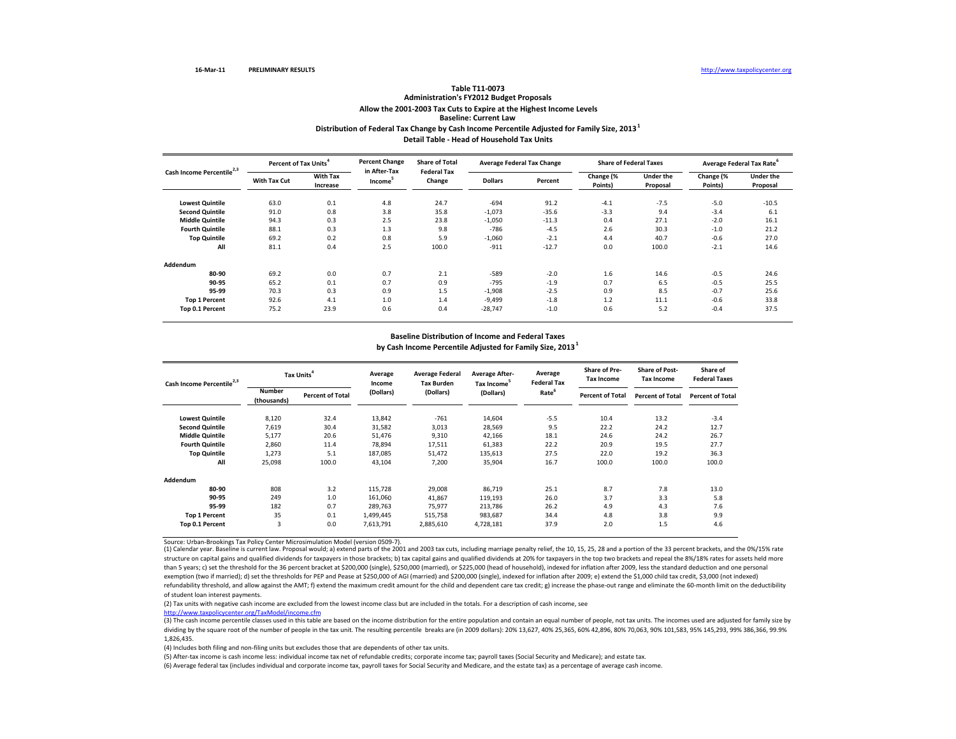# **Distribution of Federal Tax Change by Cash Income Percentile Adjusted for Family Size, <sup>2013</sup><sup>1</sup> Detail Table ‐ Head of Household Tax Units Table T11‐0073 Administration's FY2012 Budget Proposals Allow the 2001‐2003 Tax Cuts to Expire at the Highest Income Levels Baseline: Current Law**

| Cash Income Percentile <sup>2,3</sup> | Percent of Tax Units <sup>4</sup> |                             | <b>Percent Change</b>               | <b>Share of Total</b>        | <b>Average Federal Tax Change</b> |         | <b>Share of Federal Taxes</b> |                              | Average Federal Tax Rate <sup>6</sup> |                              |
|---------------------------------------|-----------------------------------|-----------------------------|-------------------------------------|------------------------------|-----------------------------------|---------|-------------------------------|------------------------------|---------------------------------------|------------------------------|
|                                       | <b>With Tax Cut</b>               | <b>With Tax</b><br>Increase | in After-Tax<br>Income <sup>3</sup> | <b>Federal Tax</b><br>Change | <b>Dollars</b>                    | Percent | Change (%<br>Points)          | <b>Under the</b><br>Proposal | Change (%<br>Points)                  | <b>Under the</b><br>Proposal |
| <b>Lowest Quintile</b>                | 63.0                              | 0.1                         | 4.8                                 | 24.7                         | $-694$                            | 91.2    | $-4.1$                        | $-7.5$                       | $-5.0$                                | $-10.5$                      |
| <b>Second Quintile</b>                | 91.0                              | 0.8                         | 3.8                                 | 35.8                         | $-1,073$                          | $-35.6$ | $-3.3$                        | 9.4                          | $-3.4$                                | 6.1                          |
| <b>Middle Quintile</b>                | 94.3                              | 0.3                         | 2.5                                 | 23.8                         | $-1,050$                          | $-11.3$ | 0.4                           | 27.1                         | $-2.0$                                | 16.1                         |
| <b>Fourth Quintile</b>                | 88.1                              | 0.3                         | 1.3                                 | 9.8                          | $-786$                            | $-4.5$  | 2.6                           | 30.3                         | $-1.0$                                | 21.2                         |
| <b>Top Quintile</b>                   | 69.2                              | 0.2                         | 0.8                                 | 5.9                          | $-1,060$                          | $-2.1$  | 4.4                           | 40.7                         | $-0.6$                                | 27.0                         |
| All                                   | 81.1                              | 0.4                         | 2.5                                 | 100.0                        | $-911$                            | $-12.7$ | 0.0                           | 100.0                        | $-2.1$                                | 14.6                         |
| Addendum                              |                                   |                             |                                     |                              |                                   |         |                               |                              |                                       |                              |
| 80-90                                 | 69.2                              | 0.0                         | 0.7                                 | 2.1                          | $-589$                            | $-2.0$  | 1.6                           | 14.6                         | $-0.5$                                | 24.6                         |
| 90-95                                 | 65.2                              | 0.1                         | 0.7                                 | 0.9                          | $-795$                            | $-1.9$  | 0.7                           | 6.5                          | $-0.5$                                | 25.5                         |
| 95-99                                 | 70.3                              | 0.3                         | 0.9                                 | 1.5                          | $-1,908$                          | $-2.5$  | 0.9                           | 8.5                          | $-0.7$                                | 25.6                         |
| <b>Top 1 Percent</b>                  | 92.6                              | 4.1                         | 1.0                                 | 1.4                          | $-9,499$                          | $-1.8$  | 1.2                           | 11.1                         | $-0.6$                                | 33.8                         |
| Top 0.1 Percent                       | 75.2                              | 23.9                        | 0.6                                 | 0.4                          | $-28,747$                         | $-1.0$  | 0.6                           | 5.2                          | $-0.4$                                | 37.5                         |

#### **Baseline Distribution of Income and Federal Taxes**

**by Cash Income Percentile Adjusted for Family Size, <sup>2013</sup><sup>1</sup>**

| Cash Income Percentile <sup>2,3</sup> | Tax Units <sup>4</sup>       |                         | Average<br>Income | <b>Average Federal</b><br><b>Tax Burden</b> | <b>Average After-</b><br>Tax Income <sup>5</sup> | Average<br><b>Federal Tax</b> | <b>Share of Pre-</b><br><b>Tax Income</b> | <b>Share of Post-</b><br><b>Tax Income</b> | Share of<br><b>Federal Taxes</b> |
|---------------------------------------|------------------------------|-------------------------|-------------------|---------------------------------------------|--------------------------------------------------|-------------------------------|-------------------------------------------|--------------------------------------------|----------------------------------|
|                                       | <b>Number</b><br>(thousands) | <b>Percent of Total</b> | (Dollars)         | (Dollars)                                   | (Dollars)                                        | Rate <sup>6</sup>             | <b>Percent of Total</b>                   | <b>Percent of Total</b>                    | <b>Percent of Total</b>          |
| <b>Lowest Quintile</b>                | 8,120                        | 32.4                    | 13,842            | $-761$                                      | 14,604                                           | $-5.5$                        | 10.4                                      | 13.2                                       | $-3.4$                           |
| <b>Second Quintile</b>                | 7,619                        | 30.4                    | 31,582            | 3,013                                       | 28,569                                           | 9.5                           | 22.2                                      | 24.2                                       | 12.7                             |
| <b>Middle Quintile</b>                | 5,177                        | 20.6                    | 51,476            | 9,310                                       | 42,166                                           | 18.1                          | 24.6                                      | 24.2                                       | 26.7                             |
| <b>Fourth Quintile</b>                | 2,860                        | 11.4                    | 78,894            | 17,511                                      | 61,383                                           | 22.2                          | 20.9                                      | 19.5                                       | 27.7                             |
| <b>Top Quintile</b>                   | 1,273                        | 5.1                     | 187,085           | 51,472                                      | 135,613                                          | 27.5                          | 22.0                                      | 19.2                                       | 36.3                             |
| All                                   | 25,098                       | 100.0                   | 43,104            | 7,200                                       | 35,904                                           | 16.7                          | 100.0                                     | 100.0                                      | 100.0                            |
| Addendum                              |                              |                         |                   |                                             |                                                  |                               |                                           |                                            |                                  |
| 80-90                                 | 808                          | 3.2                     | 115,728           | 29,008                                      | 86,719                                           | 25.1                          | 8.7                                       | 7.8                                        | 13.0                             |
| 90-95                                 | 249                          | 1.0                     | 161,060           | 41,867                                      | 119,193                                          | 26.0                          | 3.7                                       | 3.3                                        | 5.8                              |
| 95-99                                 | 182                          | 0.7                     | 289.763           | 75,977                                      | 213.786                                          | 26.2                          | 4.9                                       | 4.3                                        | 7.6                              |
| <b>Top 1 Percent</b>                  | 35                           | 0.1                     | 1,499,445         | 515,758                                     | 983,687                                          | 34.4                          | 4.8                                       | 3.8                                        | 9.9                              |
| Top 0.1 Percent                       | 3                            | 0.0                     | 7,613,791         | 2,885,610                                   | 4,728,181                                        | 37.9                          | 2.0                                       | 1.5                                        | 4.6                              |

Source: Urban‐Brookings Tax Policy Center Microsimulation Model (version 0509‐7).

(1) Calendar year. Baseline is current law. Proposal would; a) extend parts of the 2001 and 2003 tax cuts, including marriage penalty relief, the 10, 15, 25, 28 and <sup>a</sup> portion of the 33 percent brackets, and the 0%/15% rate structure on capital gains and qualified dividends for taxpayers in those brackets; b) tax capital gains and qualified dividends at 20% for taxpayers in the top two brackets and repeal the 8%/18% rates for assets held more than 5 years; c) set the threshold for the 36 percent bracket at \$200,000 (single), \$250,000 (married), or \$225,000 (head of household), indexed for inflation after 2009, less the standard deduction and one personal exemption (two if married); d) set the thresholds for PEP and Pease at \$250,000 of AGI (married) and \$200,000 (single), indexed for inflation after 2009; e) extend the \$1,000 child tax credit, \$3,000 (not indexed) refundability threshold, and allow against the AMT; f) extend the maximum credit amount for the child and dependent care tax credit; g) increase the phase‐out range and eliminate the 60‐month limit on the deductibility of student loan interest payments.

(2) Tax units with negative cash income are excluded from the lowest income class but are included in the totals. For <sup>a</sup> description of cash income, see

http://www.taxpolicycenter.org/TaxModel/income.cfm

 $\frac{1}{(3)}$  The cash income percentile classes used in this table are based on the income distribution for the entire population and contain an equal number of people, not tax units. The incomes used are adjusted for famil dividing by the square root of the number of people in the tax unit. The resulting percentile breaks are (in 2009 dollars): 20% 13,627, 40% 25,365, 60% 42,896, 80% 70,063, 90% 101,583, 95% 145,293, 99% 386,366, 99.9% 1,826,435.

(4) Includes both filing and non‐filing units but excludes those that are dependents of other tax units.

(5) After‐tax income is cash income less: individual income tax net of refundable credits; corporate income tax; payroll taxes (Social Security and Medicare); and estate tax.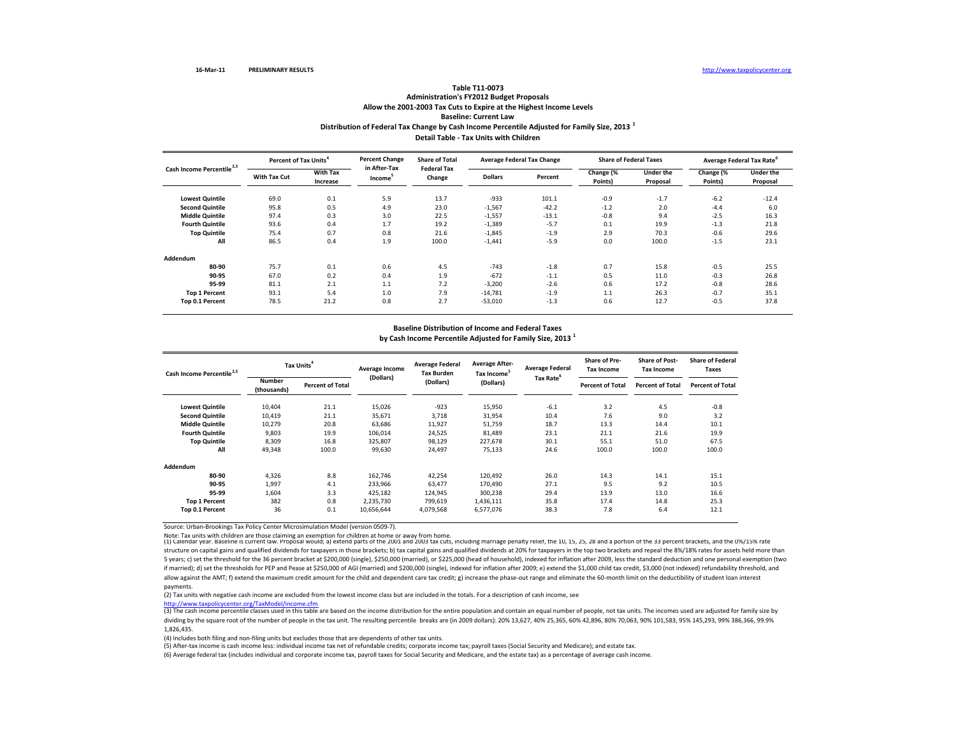## **Distribution of Federal Tax Change by Cash Income Percentile Adjusted for Family Size, <sup>2013</sup> <sup>1</sup> Detail Table ‐ Tax Units with Children Table T11‐0073 Administration's FY2012 Budget Proposals Allow the 2001‐2003 Tax Cuts to Expire at the Highest Income Levels Baseline: Current Law**

| Cash Income Percentile <sup>2,3</sup> |              | Percent of Tax Units <sup>4</sup> |                                     | <b>Share of Total</b>        | <b>Average Federal Tax Change</b> |         |                      | <b>Share of Federal Taxes</b> | Average Federal Tax Rate <sup>6</sup> |                              |
|---------------------------------------|--------------|-----------------------------------|-------------------------------------|------------------------------|-----------------------------------|---------|----------------------|-------------------------------|---------------------------------------|------------------------------|
|                                       | With Tax Cut | <b>With Tax</b><br>Increase       | in After-Tax<br>Income <sup>3</sup> | <b>Federal Tax</b><br>Change | <b>Dollars</b>                    | Percent | Change (%<br>Points) | <b>Under the</b><br>Proposal  | Change (%<br>Points)                  | <b>Under the</b><br>Proposal |
| <b>Lowest Quintile</b>                | 69.0         | 0.1                               | 5.9                                 | 13.7                         | $-933$                            | 101.1   | $-0.9$               | $-1.7$                        | $-6.2$                                | $-12.4$                      |
| <b>Second Quintile</b>                | 95.8         | 0.5                               | 4.9                                 | 23.0                         | $-1,567$                          | $-42.2$ | $-1.2$               | 2.0                           | $-4.4$                                | 6.0                          |
| <b>Middle Quintile</b>                | 97.4         | 0.3                               | 3.0                                 | 22.5                         | $-1,557$                          | $-13.1$ | $-0.8$               | 9.4                           | $-2.5$                                | 16.3                         |
| <b>Fourth Quintile</b>                | 93.6         | 0.4                               | 1.7                                 | 19.2                         | $-1,389$                          | $-5.7$  | 0.1                  | 19.9                          | $-1.3$                                | 21.8                         |
| <b>Top Quintile</b>                   | 75.4         | 0.7                               | 0.8                                 | 21.6                         | $-1,845$                          | $-1.9$  | 2.9                  | 70.3                          | $-0.6$                                | 29.6                         |
| All                                   | 86.5         | 0.4                               | 1.9                                 | 100.0                        | $-1,441$                          | $-5.9$  | 0.0                  | 100.0                         | $-1.5$                                | 23.1                         |
| Addendum                              |              |                                   |                                     |                              |                                   |         |                      |                               |                                       |                              |
| 80-90                                 | 75.7         | 0.1                               | 0.6                                 | 4.5                          | $-743$                            | $-1.8$  | 0.7                  | 15.8                          | $-0.5$                                | 25.5                         |
| 90-95                                 | 67.0         | 0.2                               | 0.4                                 | 1.9                          | $-672$                            | $-1.1$  | 0.5                  | 11.0                          | $-0.3$                                | 26.8                         |
| 95-99                                 | 81.1         | 2.1                               | 1.1                                 | 7.2                          | $-3,200$                          | $-2.6$  | 0.6                  | 17.2                          | $-0.8$                                | 28.6                         |
| <b>Top 1 Percent</b>                  | 93.1         | 5.4                               | 1.0                                 | 7.9                          | $-14,781$                         | $-1.9$  | 1.1                  | 26.3                          | $-0.7$                                | 35.1                         |
| <b>Top 0.1 Percent</b>                | 78.5         | 21.2                              | 0.8                                 | 2.7                          | $-53,010$                         | $-1.3$  | 0.6                  | 12.7                          | $-0.5$                                | 37.8                         |

#### **Baseline Distribution of Income and Federal Taxes**

**by Cash Income Percentile Adjusted for Family Size, <sup>2013</sup> <sup>1</sup>**

| Cash Income Percentile <sup>2,3</sup> | Tax Units <sup>4</sup>       |                         | Average Income | <b>Average Federal</b><br><b>Tax Burden</b> | <b>Average After-</b><br>Tax Income <sup>5</sup> | <b>Average Federal</b> | <b>Share of Pre-</b><br><b>Tax Income</b> | <b>Share of Post-</b><br><b>Tax Income</b> | <b>Share of Federal</b><br>Taxes |
|---------------------------------------|------------------------------|-------------------------|----------------|---------------------------------------------|--------------------------------------------------|------------------------|-------------------------------------------|--------------------------------------------|----------------------------------|
|                                       | <b>Number</b><br>(thousands) | <b>Percent of Total</b> | (Dollars)      | (Dollars)                                   | (Dollars)                                        | Tax Rate <sup>6</sup>  | <b>Percent of Total</b>                   | <b>Percent of Total</b>                    | <b>Percent of Total</b>          |
| <b>Lowest Quintile</b>                | 10,404                       | 21.1                    | 15,026         | $-923$                                      | 15,950                                           | $-6.1$                 | 3.2                                       | 4.5                                        | $-0.8$                           |
| <b>Second Quintile</b>                | 10,419                       | 21.1                    | 35,671         | 3,718                                       | 31,954                                           | 10.4                   | 7.6                                       | 9.0                                        | 3.2                              |
| <b>Middle Quintile</b>                | 10,279                       | 20.8                    | 63,686         | 11,927                                      | 51,759                                           | 18.7                   | 13.3                                      | 14.4                                       | 10.1                             |
| <b>Fourth Quintile</b>                | 9,803                        | 19.9                    | 106,014        | 24,525                                      | 81,489                                           | 23.1                   | 21.1                                      | 21.6                                       | 19.9                             |
| <b>Top Quintile</b>                   | 8,309                        | 16.8                    | 325,807        | 98,129                                      | 227,678                                          | 30.1                   | 55.1                                      | 51.0                                       | 67.5                             |
| All                                   | 49,348                       | 100.0                   | 99,630         | 24,497                                      | 75,133                                           | 24.6                   | 100.0                                     | 100.0                                      | 100.0                            |
| Addendum                              |                              |                         |                |                                             |                                                  |                        |                                           |                                            |                                  |
| 80-90                                 | 4,326                        | 8.8                     | 162,746        | 42,254                                      | 120,492                                          | 26.0                   | 14.3                                      | 14.1                                       | 15.1                             |
| 90-95                                 | 1,997                        | 4.1                     | 233,966        | 63,477                                      | 170,490                                          | 27.1                   | 9.5                                       | 9.2                                        | 10.5                             |
| 95-99                                 | 1,604                        | 3.3                     | 425,182        | 124,945                                     | 300,238                                          | 29.4                   | 13.9                                      | 13.0                                       | 16.6                             |
| <b>Top 1 Percent</b>                  | 382                          | 0.8                     | 2,235,730      | 799,619                                     | 1,436,111                                        | 35.8                   | 17.4                                      | 14.8                                       | 25.3                             |
| Top 0.1 Percent                       | 36                           | 0.1                     | 10,656,644     | 4,079,568                                   | 6,577,076                                        | 38.3                   | 7.8                                       | 6.4                                        | 12.1                             |

Source: Urban‐Brookings Tax Policy Center Microsimulation Model (version 0509‐7).

Note: Tax units with children are those claiming an exemption for children at home or away from home.<br>(1) Calendar year. Baseline is current law. Proposal would; a) extend parts of the 2001 and 2003 tax cuts, including mar structure on capital gains and qualified dividends for taxpayers in those brackets; b) tax capital gains and qualified dividends at 20% for taxpayers in the top two brackets and repeal the 8%/18% rates for assets held more 5 years; c) set the threshold for the 36 percent bracket at \$200,000 (single), \$250,000 (married), or \$225,000 (head of household), indexed for inflation after 2009, less the standard deduction and one personal exemption ( if married); d) set the thresholds for PEP and Pease at \$250,000 of AGI (married) and \$200,000 (single), indexed for inflation after 2009; e) extend the \$1,000 child tax credit, \$3,000 (not indexed) refundability threshold allow against the AMT; f) extend the maximum credit amount for the child and dependent care tax credit; g) increase the phase‐out range and eliminate the 60‐month limit on the deductibility of student loan interest payments.

(2) Tax units with negative cash income are excluded from the lowest income class but are included in the totals. For <sup>a</sup> description of cash income, see

http://www.taxpolicycenter.org/TaxModel/income.cfm

(3) The cash income percentile classes used in this table are based on the income distribution for the entire population and contain an equal number of people, not tax units. The incomes used are adjusted for family size b dividing by the square root of the number of people in the tax unit. The resulting percentile breaks are (in 2009 dollars): 20% 13,627, 40% 25,365, 60% 42,896, 80% 70,063, 90% 101,583, 95% 145,293, 99% 386,366, 99.9% 1,826,435.

(4) Includes both filing and non‐filing units but excludes those that are dependents of other tax units.

(5) After‐tax income is cash income less: individual income tax net of refundable credits; corporate income tax; payroll taxes (Social Security and Medicare); and estate tax.